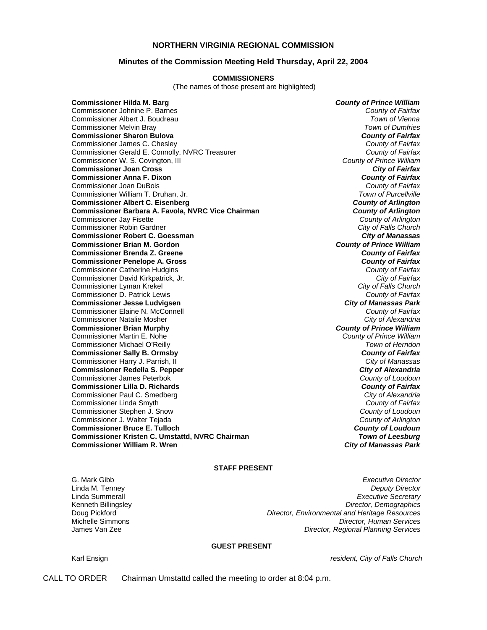#### **NORTHERN VIRGINIA REGIONAL COMMISSION**

#### **Minutes of the Commission Meeting Held Thursday, April 22, 2004**

#### **COMMISSIONERS**

(The names of those present are highlighted)

**Commissioner Hilda M. Barg** *County of Prince William* Commissioner Johnine P. Barnes *County of Fairfax* Commissioner Albert J. Boudreau *Town of Vienna* **Commissioner Melvin Bray Commissioner Sharon Bulova** *County of Fairfax County of Fairfax County of Fairfax County of Fairfax County of Fairfax* Commissioner James C. Chesley *County of Fairfax* Commissioner Gerald E. Connolly, NVRC Treasurer *County of Fairfax* Commissioner W. S. Covington, III *County of Prince William* **Commissioner Joan Cross** *City of Fairfax* **Commissioner Anna F. Dixon** *County of Fairfax* Commissioner Joan DuBois *County of Fairfax* Commissioner William T. Druhan, Jr. *Town of Purcellville* **Commissioner Albert C. Eisenberg** *County of Arlington* **Commissioner Barbara A. Favola, NVRC Vice Chairman** *County of Arlington**County of Arlington**County of Arlington* Commissioner Jay Fisette *County of Arlington* Commissioner Robin Gardner *City of Falls Church* **Commissioner Robert C. Goessman** *City of Manassas* **Commissioner Brian M. Gordon** *County of Prince William* **Commissioner Brenda Z. Greene** *County of Fairfax* **Commissioner Penelope A. Gross** *County of Fairfax* Commissioner Catherine Hudgins *County of Fairfax* Commissioner David Kirkpatrick, Jr. *City of Fairfax* Commissioner Lyman Krekel *City of Falls Church* Commissioner D. Patrick Lewis *County of Fairfax* **Commissioner Jesse Ludvigsen** *City of Manassas Park* Commissioner Elaine N. McConnell *County of Fairfax* Commissioner Natalie Mosher *City of Alexandria* **Commissioner Brian Murphy** *County of Prince William* Commissioner Martin E. Nohe *County of Prince William* Commissioner Michael O'Reilly *Town of Herndon* **Commissioner Sally B. Ormsby** *County of Fairfax* Commissioner Harry J. Parrish, II *City of Manassas* **Commissioner Redella S. Pepper** *City of Alexandria* Commissioner James Peterbok *County of Loudoun* **Commissioner Lilla D. Richards** *County of Fairfax* Commissioner Paul C. Smedberg *City of Alexandria* Commissioner Linda Smyth *County of Fairfax* Commissioner Stephen J. Snow *County of Loudoun* Commissioner J. Walter Tejada *County of Arlington* **Commissioner Bruce E. Tulloch** *County of Loudoun* **Commissioner Kristen C. Umstattd, NVRC Chairman** *Town of Leesburg* **Commissioner William R. Wren** *City of Manassas Park*

### **STAFF PRESENT**

G. Mark Gibb *Executive Director* Linda M. Tenney *Deputy Director* Linda Summerall *Executive Secretary* Kenneth Billingsley *Director, Demographics* Doug Pickford *Director, Environmental and Heritage Resources* Michelle Simmons *Director, Human Services* **Director, Regional Planning Services** 

#### **GUEST PRESENT**

Karl Ensign *resident, City of Falls Church*

CALL TO ORDER Chairman Umstattd called the meeting to order at 8:04 p.m.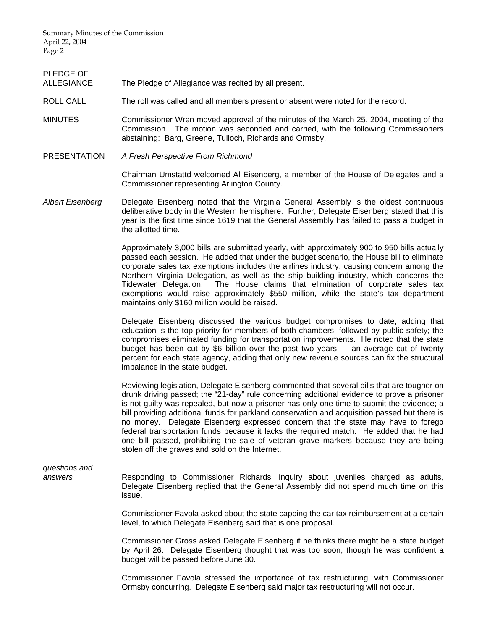Summary Minutes of the Commission April 22, 2004 Page 2

PLEDGE OF

ALLEGIANCE The Pledge of Allegiance was recited by all present.

- ROLL CALL The roll was called and all members present or absent were noted for the record.
- MINUTES Commissioner Wren moved approval of the minutes of the March 25, 2004, meeting of the Commission. The motion was seconded and carried, with the following Commissioners abstaining: Barg, Greene, Tulloch, Richards and Ormsby.
- PRESENTATION *A Fresh Perspective From Richmond*

 Chairman Umstattd welcomed Al Eisenberg, a member of the House of Delegates and a Commissioner representing Arlington County.

*Albert Eisenberg* Delegate Eisenberg noted that the Virginia General Assembly is the oldest continuous deliberative body in the Western hemisphere. Further, Delegate Eisenberg stated that this year is the first time since 1619 that the General Assembly has failed to pass a budget in the allotted time.

> Approximately 3,000 bills are submitted yearly, with approximately 900 to 950 bills actually passed each session. He added that under the budget scenario, the House bill to eliminate corporate sales tax exemptions includes the airlines industry, causing concern among the Northern Virginia Delegation, as well as the ship building industry, which concerns the Tidewater Delegation. The House claims that elimination of corporate sales tax exemptions would raise approximately \$550 million, while the state's tax department maintains only \$160 million would be raised.

> Delegate Eisenberg discussed the various budget compromises to date, adding that education is the top priority for members of both chambers, followed by public safety; the compromises eliminated funding for transportation improvements. He noted that the state budget has been cut by \$6 billion over the past two years — an average cut of twenty percent for each state agency, adding that only new revenue sources can fix the structural imbalance in the state budget.

> Reviewing legislation, Delegate Eisenberg commented that several bills that are tougher on drunk driving passed; the "21-day" rule concerning additional evidence to prove a prisoner is not guilty was repealed, but now a prisoner has only one time to submit the evidence; a bill providing additional funds for parkland conservation and acquisition passed but there is no money. Delegate Eisenberg expressed concern that the state may have to forego federal transportation funds because it lacks the required match. He added that he had one bill passed, prohibiting the sale of veteran grave markers because they are being stolen off the graves and sold on the Internet.

# *questions and*

*answers* Responding to Commissioner Richards' inquiry about juveniles charged as adults, Delegate Eisenberg replied that the General Assembly did not spend much time on this issue.

> Commissioner Favola asked about the state capping the car tax reimbursement at a certain level, to which Delegate Eisenberg said that is one proposal.

> Commissioner Gross asked Delegate Eisenberg if he thinks there might be a state budget by April 26. Delegate Eisenberg thought that was too soon, though he was confident a budget will be passed before June 30.

> Commissioner Favola stressed the importance of tax restructuring, with Commissioner Ormsby concurring. Delegate Eisenberg said major tax restructuring will not occur.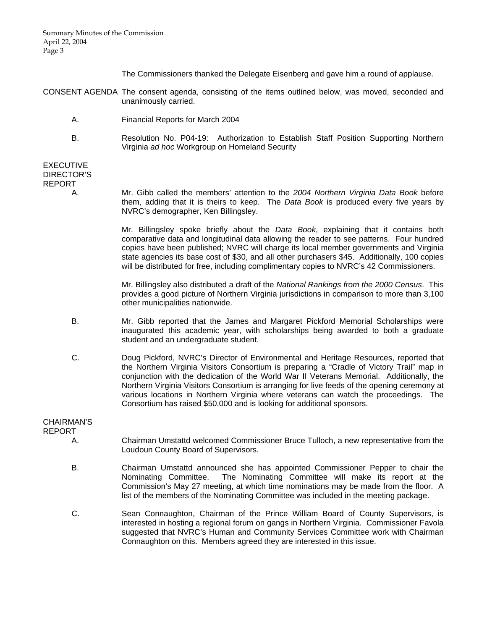The Commissioners thanked the Delegate Eisenberg and gave him a round of applause.

- CONSENT AGENDA The consent agenda, consisting of the items outlined below, was moved, seconded and unanimously carried.
	- A. Financial Reports for March 2004
	- B. Resolution No. P04-19: Authorization to Establish Staff Position Supporting Northern Virginia *ad hoc* Workgroup on Homeland Security

## EXECUTIVE DIRECTOR'S REPORT

 A. Mr. Gibb called the members' attention to the *2004 Northern Virginia Data Book* before them, adding that it is theirs to keep. The *Data Book* is produced every five years by NVRC's demographer, Ken Billingsley.

> Mr. Billingsley spoke briefly about the *Data Book*, explaining that it contains both comparative data and longitudinal data allowing the reader to see patterns. Four hundred copies have been published; NVRC will charge its local member governments and Virginia state agencies its base cost of \$30, and all other purchasers \$45. Additionally, 100 copies will be distributed for free, including complimentary copies to NVRC's 42 Commissioners.

> Mr. Billingsley also distributed a draft of the *National Rankings from the 2000 Census*. This provides a good picture of Northern Virginia jurisdictions in comparison to more than 3,100 other municipalities nationwide.

- B. Mr. Gibb reported that the James and Margaret Pickford Memorial Scholarships were inaugurated this academic year, with scholarships being awarded to both a graduate student and an undergraduate student.
- C. Doug Pickford, NVRC's Director of Environmental and Heritage Resources, reported that the Northern Virginia Visitors Consortium is preparing a "Cradle of Victory Trail" map in conjunction with the dedication of the World War II Veterans Memorial. Additionally, the Northern Virginia Visitors Consortium is arranging for live feeds of the opening ceremony at various locations in Northern Virginia where veterans can watch the proceedings. The Consortium has raised \$50,000 and is looking for additional sponsors.

## CHAIRMAN'S

REPORT

- A. Chairman Umstattd welcomed Commissioner Bruce Tulloch, a new representative from the Loudoun County Board of Supervisors.
- B. Chairman Umstattd announced she has appointed Commissioner Pepper to chair the Nominating Committee. The Nominating Committee will make its report at the Commission's May 27 meeting, at which time nominations may be made from the floor. A list of the members of the Nominating Committee was included in the meeting package.
- C. Sean Connaughton, Chairman of the Prince William Board of County Supervisors, is interested in hosting a regional forum on gangs in Northern Virginia. Commissioner Favola suggested that NVRC's Human and Community Services Committee work with Chairman Connaughton on this. Members agreed they are interested in this issue.